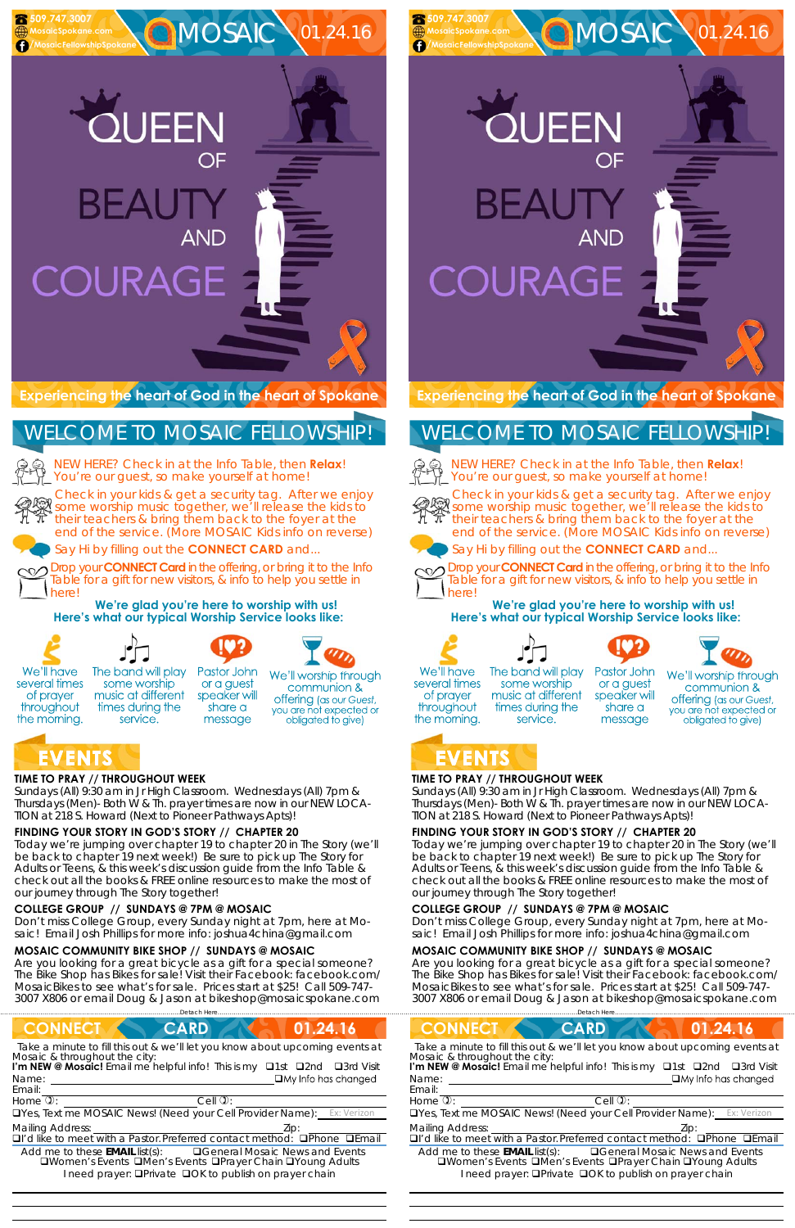## **TIME TO PRAY // THROUGHOUT WEEK**

*Sundays* (All) 9:30 am in Jr High Classroom. *Wednesdays* (All) 7pm & *Thursdays* (Men)- Both W & Th. prayer times are now in our *NEW LOCA-TION at 218 S. Howard* (Next to Pioneer Pathways Apts)!

## **FINDING YOUR STORY IN GOD'S STORY // CHAPTER 20**

some worship

music at different

times during the

service.

Today we're jumping over chapter 19 to chapter 20 in The Story (we'll be back to chapter 19 next week!) Be sure to pick up The Story for Adults or Teens, & this week's discussion guide from the Info Table & check out all the books & FREE online resources to make the most of our journey through The Story together!

BEAL COURAGE

MOSAIC 01.24.16

#### **COLLEGE GROUP // SUNDAYS @ 7PM @ MOSAIC**

Don't miss College Group, every Sunday night at 7pm, here at Mosaic! Email Josh Phillips for more info: joshua4china@gmail.com

#### **MOSAIC COMMUNITY BIKE SHOP // SUNDAYS @ MOSAIC**

Are you looking for a great bicycle as a gift for a special someone? The Bike Shop has Bikes for sale! Visit their Facebook: facebook.com/ MosaicBikes to see what's for sale. Prices start at \$25! Call 509-747- 3007 X806 or email Doug & Jason at bikeshop@mosaicspokane.com



MOSAIC 01.24.16

NEW HERE? Check in at the Info Table, then **Relax**! You're our guest, so make yourself at home!

QUEEN

**BEAUT** 

COURAGE

Check in your kids & get a security tag. After we enjoy Sheek in your most of your accounty to your community of the kids to their teachers & bring them back to the foyer at the end of the service. (More MOSAIC Kids info on reverse)

Say Hi by filling out the **CONNECT CARD** and...

Drop your **CONNECT Card** in the offering, or bring it to the Info Table for a gift for new visitors, & info to help you settle in here!

**We're glad you're here to worship with us! Here's what our typical Worship Service looks like:** 

We'll have several times of prayer

throughout

the morning.

 **509.747.3007 MosaicSpokane.com /MosaicFellowshipSpokane**

> The band will play Pastor John

> > or a guest

speaker will

share a

message





NEW HERE? Check in at the Info Table, then **Relax**! You're our guest, so make yourself at home!

obligated to give)



We'll worship through communion & offering (as our Guest, you are not expected or



# WELCOME TO MOSAIC FELLOWSHIP!

Drop your **CONNECT Card** in the offering, or bring it to the Info Table for a gift for new visitors, & info to help you settle in herel

 

# **TIME TO PRAY // THROUGHOUT WEEK**

*Sundays* (All) 9:30 am in Jr High Classroom. *Wednesdays* (All) 7pm & *Thursdays* (Men)- Both W & Th. prayer times are now in our *NEW LOCA-TION at 218 S. Howard* (Next to Pioneer Pathways Apts)!

# **FINDING YOUR STORY IN GOD'S STORY // CHAPTER 20**

Today we're jumping over chapter 19 to chapter 20 in The Story (we'll be back to chapter 19 next week!) Be sure to pick up The Story for Adults or Teens, & this week's discussion guide from the Info Table & check out all the books & FREE online resources to make the most of our journey through The Story together!

| <b>CONNECT</b>                                                                                                                                                                                                                                                   | <b>CONNECT</b>                                                                                                                                                                                                                                       |  |  |
|------------------------------------------------------------------------------------------------------------------------------------------------------------------------------------------------------------------------------------------------------------------|------------------------------------------------------------------------------------------------------------------------------------------------------------------------------------------------------------------------------------------------------|--|--|
| 01.24.16                                                                                                                                                                                                                                                         | <b>CARD</b>                                                                                                                                                                                                                                          |  |  |
| <b>CARD</b>                                                                                                                                                                                                                                                      | 01.24.16                                                                                                                                                                                                                                             |  |  |
| Take a minute to fill this out & we'll let you know about upcoming events at<br>Mosaic & throughout the city:<br>I'm NEW @ Mosaic! Email me helpful info! This is my <b>Q1st</b><br>□3rd Visit<br>$\square$ 2nd<br>$\Box$ My Info has changed<br>Name:<br>Email: | Take a minute to fill this out & we'll let you know about upcoming events at<br>Mosaic & throughout the city:<br>I'm NEW @ Mosaic! Email me helpful info! This is my <b>Q1st Q2nd</b><br>□3rd Visit<br>$\Box$ My Info has changed<br>Name:<br>Email: |  |  |
| Home $\mathbb{Q}$ :                                                                                                                                                                                                                                              | Home $\mathbb{O}$ :                                                                                                                                                                                                                                  |  |  |
| $C$ ell $\mathfrak{D}$ :                                                                                                                                                                                                                                         | $Cell$ $\mathcal{D}$ :                                                                                                                                                                                                                               |  |  |
| <b>OYes, Text me MOSAIC News! (Need your Cell Provider Name):</b> Ex: Verizon                                                                                                                                                                                    | <b>OYes, Text me MOSAIC News! (Need your Cell Provider Name):</b> Ex: Verizon                                                                                                                                                                        |  |  |
| <b>Mailing Address:</b>                                                                                                                                                                                                                                          | <b>Mailing Address:</b>                                                                                                                                                                                                                              |  |  |
| Zip:                                                                                                                                                                                                                                                             | DI'd like to meet with a Pastor. Preferred contact method:                                                                                                                                                                                           |  |  |
| DI'd like to meet with a Pastor. Preferred contact method:                                                                                                                                                                                                       | $\Box$ Phone                                                                                                                                                                                                                                         |  |  |
| <b>OPhone OEmail</b>                                                                                                                                                                                                                                             | $\Box$ Fmail                                                                                                                                                                                                                                         |  |  |
| Add me to these <b>EMAIL</b> list(s):                                                                                                                                                                                                                            | Add me to these <b>EMAIL</b> list(s):                                                                                                                                                                                                                |  |  |
| <b>QGeneral Mosaic News and Events</b>                                                                                                                                                                                                                           | <b>QGeneral Mosaic News and Events</b>                                                                                                                                                                                                               |  |  |
| <b>QWomen's Events QMen's Events QPrayer Chain QYoung Adults</b>                                                                                                                                                                                                 | <b>QWomen's Events QMen's Events QPrayer Chain QYoung Adults</b>                                                                                                                                                                                     |  |  |
| I need prayer: <b>QPrivate QOK to publish on prayer chain</b>                                                                                                                                                                                                    | I need prayer: <b>QPrivate QOK to publish on prayer chain</b>                                                                                                                                                                                        |  |  |

#### **COLLEGE GROUP // SUNDAYS @ 7PM @ MOSAIC**

Don't miss College Group, every Sunday night at 7pm, here at Mosaic! Email Josh Phillips for more info: joshua4china@gmail.com

#### **MOSAIC COMMUNITY BIKE SHOP // SUNDAYS @ MOSAIC**

Are you looking for a great bicycle as a gift for a special someone? The Bike Shop has Bikes for sale! Visit their Facebook: facebook.com/ MosaicBikes to see what's for sale. Prices start at \$25! Call 509-747- 3007 X806 or email Doug & Jason at bikeshop@mosaicspokane.com

**Experiencing the heart of God in the heart of Spokane** 

Check in your kids & get a security tag. After we enjoy some worship music together, we'll release the kids to their teachers & bring them back to the foyer at the end of the service. (More MOSAIC Kids info on reverse)



Say Hi by filling out the **CONNECT CARD** and...



**We're glad you're here to worship with us! Here's what our typical Worship Service looks like:** 









We'll have several times of prayer throughout the morning.

The band will play some worship music at different times during the service.

Pastor John or a guest speaker will share a message

We'll worship through communion & offering (as our Guest, you are not expected or obligated to give)

# **EVENTS**

 **509.747.3007 MosaicSpokane.com /MosaicFellowshipSpokane**

# WELCOME TO MOSAIC FELLOWSHIP!